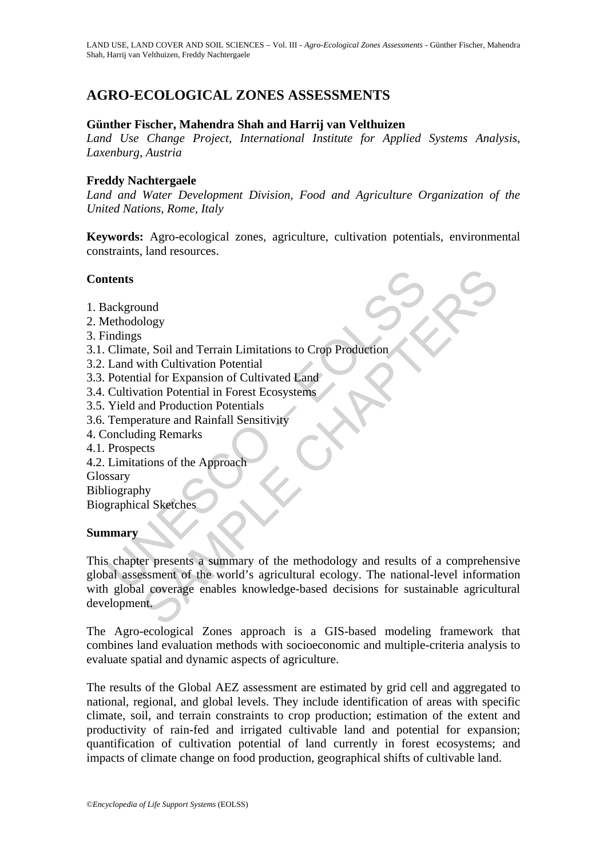# **AGRO-ECOLOGICAL ZONES ASSESSMENTS**

#### **Günther Fischer, Mahendra Shah and Harrij van Velthuizen**

*Land Use Change Project, International Institute for Applied Systems Analysis, Laxenburg, Austria* 

#### **Freddy Nachtergaele**

*Land and Water Development Division, Food and Agriculture Organization of the United Nations, Rome, Italy* 

**Keywords:** Agro-ecological zones, agriculture, cultivation potentials, environmental constraints, land resources.

### **Contents**

- 1. Background
- 2. Methodology
- 3. Findings
- 3.1. Climate, Soil and Terrain Limitations to Crop Production
- 3.2. Land with Cultivation Potential
- 3.3. Potential for Expansion of Cultivated Land
- 3.4. Cultivation Potential in Forest Ecosystems
- 3.5. Yield and Production Potentials
- 3.6. Temperature and Rainfall Sensitivity
- 4. Concluding Remarks
- 4.1. Prospects
- 4.2. Limitations of the Approach

Glossary

Bibliography

Biographical Sketches

#### **Summary**

The main of the main of the methodology<br>
The Climate, Soil and Terrain Limitations to Crop Production<br>
Climate, Soil and Terrain Limitations to Crop Production<br>
Land with Cultivation Potential<br>
Potential for Expansion of C und<br>
e, Soil and Terrain Limitations to Crop Production<br>
ial for Expansion of Cultivated Land<br>
ial for Expansion of Cultivated Land<br>
ial for Expansion of Cultivated Land<br>
ing Remarks<br>
ext<br>
tions of the Approach<br>
by<br>
al Ske This chapter presents a summary of the methodology and results of a comprehensive global assessment of the world's agricultural ecology. The national-level information with global coverage enables knowledge-based decisions for sustainable agricultural development.

The Agro-ecological Zones approach is a GIS-based modeling framework that combines land evaluation methods with socioeconomic and multiple-criteria analysis to evaluate spatial and dynamic aspects of agriculture.

The results of the Global AEZ assessment are estimated by grid cell and aggregated to national, regional, and global levels. They include identification of areas with specific climate, soil, and terrain constraints to crop production; estimation of the extent and productivity of rain-fed and irrigated cultivable land and potential for expansion; quantification of cultivation potential of land currently in forest ecosystems; and impacts of climate change on food production, geographical shifts of cultivable land.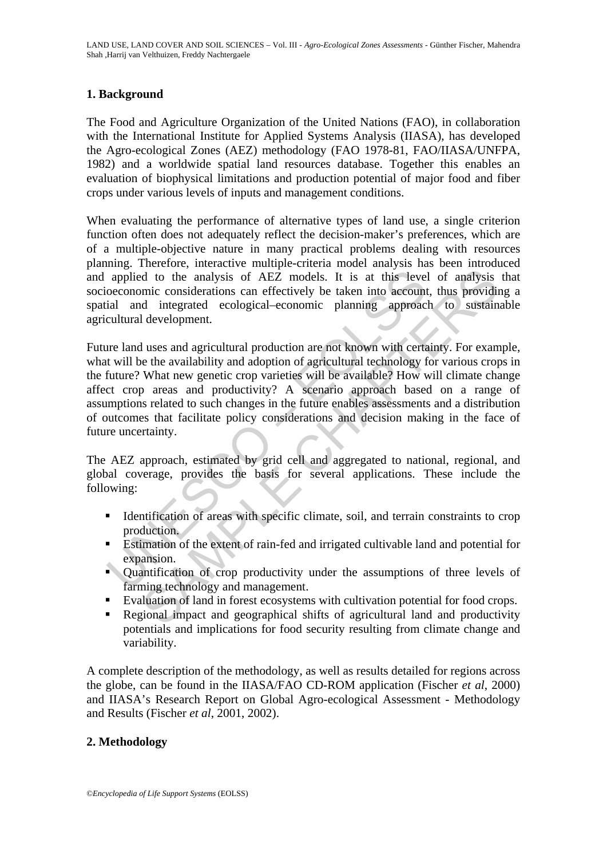# **1. Background**

The Food and Agriculture Organization of the United Nations (FAO), in collaboration with the International Institute for Applied Systems Analysis (IIASA), has developed the Agro-ecological Zones (AEZ) methodology (FAO 1978-81, FAO/IIASA/UNFPA, 1982) and a worldwide spatial land resources database. Together this enables an evaluation of biophysical limitations and production potential of major food and fiber crops under various levels of inputs and management conditions.

When evaluating the performance of alternative types of land use, a single criterion function often does not adequately reflect the decision-maker's preferences, which are of a multiple-objective nature in many practical problems dealing with resources planning. Therefore, interactive multiple-criteria model analysis has been introduced and applied to the analysis of AEZ models. It is at this level of analysis that socioeconomic considerations can effectively be taken into account, thus providing a spatial and integrated ecological–economic planning approach to sustainable agricultural development.

applied to the analysis of AEZ models. It is at this leve<br>oeconomic considerations can effectively be taken into account<br>ial and integrated ecological-economic planning approac<br>cultural development.<br>In a dimegrated ecologi d to the analysis of AEZ models. It is at this level of analysis did to the analysis of AEZ models. It is at this level of analysis minic considerations can effectively be taken into account, thus provided integrated ecolo Future land uses and agricultural production are not known with certainty. For example, what will be the availability and adoption of agricultural technology for various crops in the future? What new genetic crop varieties will be available? How will climate change affect crop areas and productivity? A scenario approach based on a range of assumptions related to such changes in the future enables assessments and a distribution of outcomes that facilitate policy considerations and decision making in the face of future uncertainty.

The AEZ approach, estimated by grid cell and aggregated to national, regional, and global coverage, provides the basis for several applications. These include the following:

- Identification of areas with specific climate, soil, and terrain constraints to crop production.
- Estimation of the extent of rain-fed and irrigated cultivable land and potential for expansion.
- Quantification of crop productivity under the assumptions of three levels of farming technology and management.
- Evaluation of land in forest ecosystems with cultivation potential for food crops.
- Regional impact and geographical shifts of agricultural land and productivity potentials and implications for food security resulting from climate change and variability.

A complete description of the methodology, as well as results detailed for regions across the globe, can be found in the IIASA/FAO CD-ROM application (Fischer *et al*, 2000) and IIASA's Research Report on Global Agro-ecological Assessment - Methodology and Results (Fischer *et al*, 2001, 2002).

## **2. Methodology**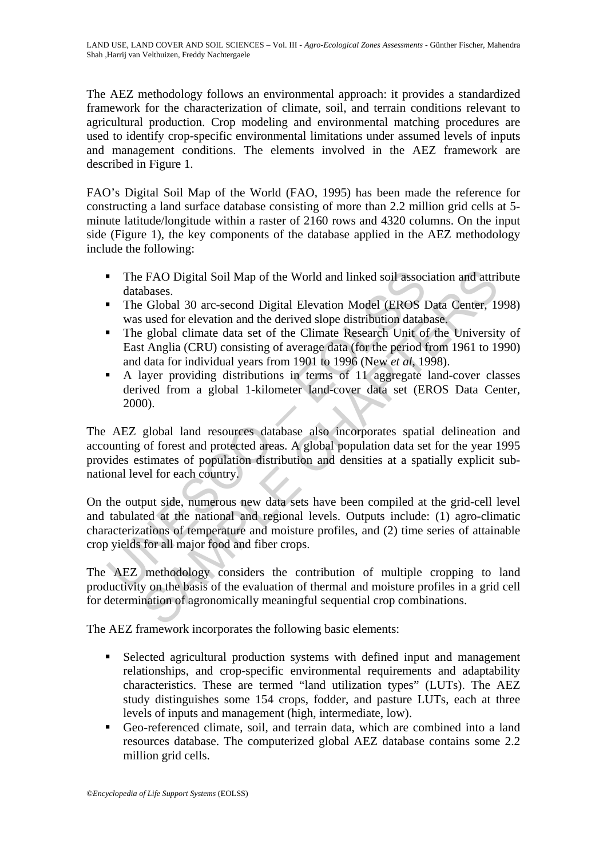The AEZ methodology follows an environmental approach: it provides a standardized framework for the characterization of climate, soil, and terrain conditions relevant to agricultural production. Crop modeling and environmental matching procedures are used to identify crop-specific environmental limitations under assumed levels of inputs and management conditions. The elements involved in the AEZ framework are described in Figure 1.

FAO's Digital Soil Map of the World (FAO, 1995) has been made the reference for constructing a land surface database consisting of more than 2.2 million grid cells at 5 minute latitude/longitude within a raster of 2160 rows and 4320 columns. On the input side (Figure 1), the key components of the database applied in the AEZ methodology include the following:

- The FAO Digital Soil Map of the World and linked soil association and attribute databases.
- The Global 30 arc-second Digital Elevation Model (EROS Data Center, 1998) was used for elevation and the derived slope distribution database.
- The global climate data set of the Climate Research Unit of the University of East Anglia (CRU) consisting of average data (for the period from 1961 to 1990) and data for individual years from 1901 to 1996 (New *et al*, 1998).
- A layer providing distributions in terms of 11 aggregate land-cover classes derived from a global 1-kilometer land-cover data set (EROS Data Center, 2000).

• The FAO Digital Soil Map of the World and linked soil assoc databases.<br>
• The Global 30 arc-second Digital Elevation Model (EROS I was used for elevation and the derived slope distribution database. The global climate d EAO Digital Soil Map of the World and linked soil association and attriand abases.<br>
Solohal 30 arc-second Digital Elevation Model (EROS Data Center, 19<br>
Suesd for elevation and the derived slope distribution database.<br>
E g The AEZ global land resources database also incorporates spatial delineation and accounting of forest and protected areas. A global population data set for the year 1995 provides estimates of population distribution and densities at a spatially explicit subnational level for each country.

On the output side, numerous new data sets have been compiled at the grid-cell level and tabulated at the national and regional levels. Outputs include: (1) agro-climatic characterizations of temperature and moisture profiles, and (2) time series of attainable crop yields for all major food and fiber crops.

The AEZ methodology considers the contribution of multiple cropping to land productivity on the basis of the evaluation of thermal and moisture profiles in a grid cell for determination of agronomically meaningful sequential crop combinations.

The AEZ framework incorporates the following basic elements:

- Selected agricultural production systems with defined input and management relationships, and crop-specific environmental requirements and adaptability characteristics. These are termed "land utilization types" (LUTs). The AEZ study distinguishes some 154 crops, fodder, and pasture LUTs, each at three levels of inputs and management (high, intermediate, low).
- Geo-referenced climate, soil, and terrain data, which are combined into a land resources database. The computerized global AEZ database contains some 2.2 million grid cells.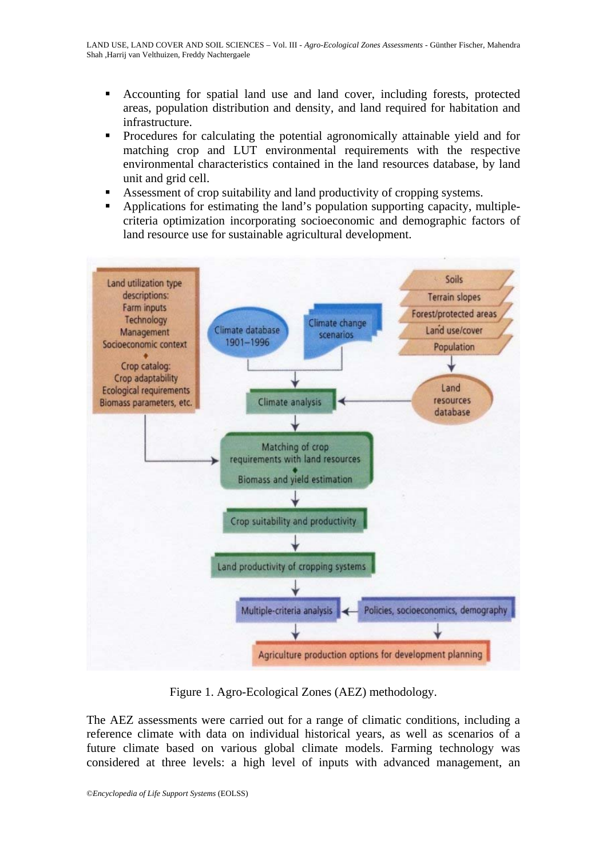- Accounting for spatial land use and land cover, including forests, protected areas, population distribution and density, and land required for habitation and infrastructure.
- Procedures for calculating the potential agronomically attainable yield and for matching crop and LUT environmental requirements with the respective environmental characteristics contained in the land resources database, by land unit and grid cell.
- Assessment of crop suitability and land productivity of cropping systems.
- Applications for estimating the land's population supporting capacity, multiplecriteria optimization incorporating socioeconomic and demographic factors of land resource use for sustainable agricultural development.



Figure 1. Agro-Ecological Zones (AEZ) methodology.

The AEZ assessments were carried out for a range of climatic conditions, including a reference climate with data on individual historical years, as well as scenarios of a future climate based on various global climate models. Farming technology was considered at three levels: a high level of inputs with advanced management, an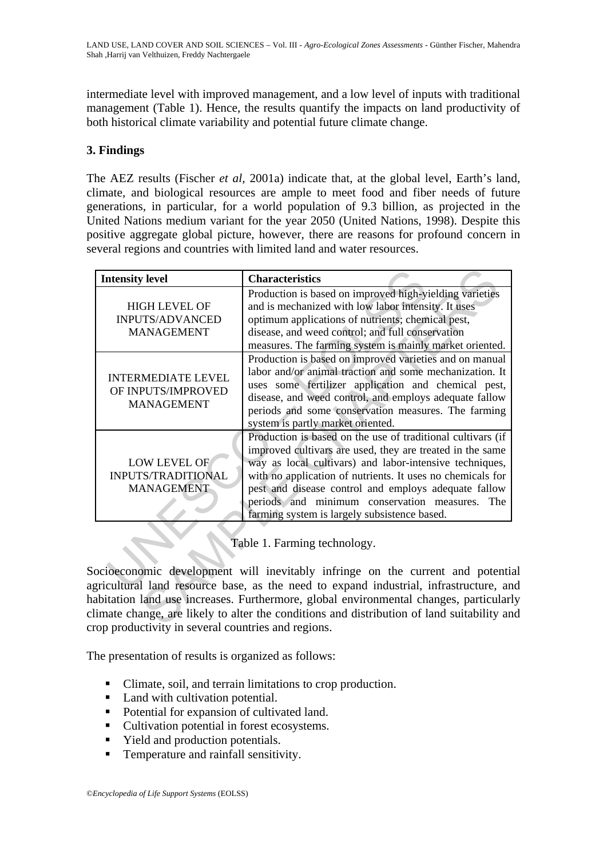intermediate level with improved management, and a low level of inputs with traditional management (Table 1). Hence, the results quantify the impacts on land productivity of both historical climate variability and potential future climate change.

## **3. Findings**

The AEZ results (Fischer *et al*, 2001a) indicate that, at the global level, Earth's land, climate, and biological resources are ample to meet food and fiber needs of future generations, in particular, for a world population of 9.3 billion, as projected in the United Nations medium variant for the year 2050 (United Nations, 1998). Despite this positive aggregate global picture, however, there are reasons for profound concern in several regions and countries with limited land and water resources.

| <b>Intensity level</b>                                                                                                                                                                                                                                                                                                                                                                                                                        | <b>Characteristics</b>                                                                                                                                                                                                                                                                                                                                                                                      |
|-----------------------------------------------------------------------------------------------------------------------------------------------------------------------------------------------------------------------------------------------------------------------------------------------------------------------------------------------------------------------------------------------------------------------------------------------|-------------------------------------------------------------------------------------------------------------------------------------------------------------------------------------------------------------------------------------------------------------------------------------------------------------------------------------------------------------------------------------------------------------|
| <b>HIGH LEVEL OF</b><br><b>INPUTS/ADVANCED</b><br><b>MANAGEMENT</b>                                                                                                                                                                                                                                                                                                                                                                           | Production is based on improved high-yielding varieties<br>and is mechanized with low labor intensity. It uses<br>optimum applications of nutrients; chemical pest,<br>disease, and weed control; and full conservation<br>measures. The farming system is mainly market oriented.                                                                                                                          |
| <b>INTERMEDIATE LEVEL</b><br>OF INPUTS/IMPROVED<br><b>MANAGEMENT</b>                                                                                                                                                                                                                                                                                                                                                                          | Production is based on improved varieties and on manual<br>labor and/or animal traction and some mechanization. It<br>uses some fertilizer application and chemical pest,<br>disease, and weed control, and employs adequate fallow<br>periods and some conservation measures. The farming<br>system is partly market oriented.                                                                             |
| LOW LEVEL OF<br>INPUTS/TRADITIONAL<br><b>MANAGEMENT</b>                                                                                                                                                                                                                                                                                                                                                                                       | Production is based on the use of traditional cultivars (if<br>improved cultivars are used, they are treated in the same<br>way as local cultivars) and labor-intensive techniques,<br>with no application of nutrients. It uses no chemicals for<br>pest and disease control and employs adequate fallow<br>periods and minimum conservation measures. The<br>farming system is largely subsistence based. |
| Table 1. Farming technology.<br>ocioeconomic development will inevitably infringe on the current and potenti<br>gricultural land resource base, as the need to expand industrial, infrastructure, an<br>abitation land use increases. Furthermore, global environmental changes, particular<br>limate change, are likely to alter the conditions and distribution of land suitability an<br>rea readyptivity in covered countries and regions |                                                                                                                                                                                                                                                                                                                                                                                                             |

Socioeconomic development will inevitably infringe on the current and potential agricultural land resource base, as the need to expand industrial, infrastructure, and habitation land use increases. Furthermore, global environmental changes, particularly climate change, are likely to alter the conditions and distribution of land suitability and crop productivity in several countries and regions.

The presentation of results is organized as follows:

- Climate, soil, and terrain limitations to crop production.
- Land with cultivation potential.
- Potential for expansion of cultivated land.
- Cultivation potential in forest ecosystems.
- Yield and production potentials.
- **Temperature and rainfall sensitivity.**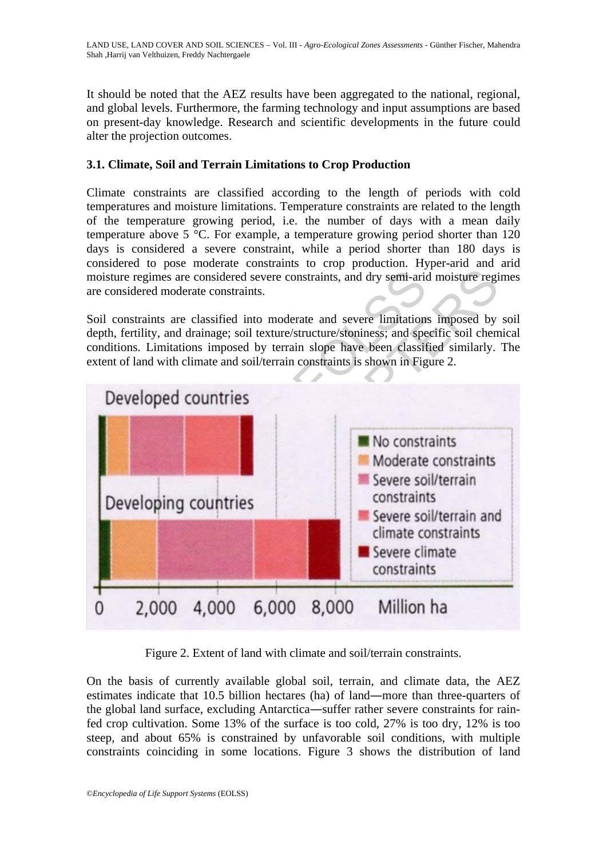It should be noted that the AEZ results have been aggregated to the national, regional, and global levels. Furthermore, the farming technology and input assumptions are based on present-day knowledge. Research and scientific developments in the future could alter the projection outcomes.

# **3.1. Climate, Soil and Terrain Limitations to Crop Production**

Climate constraints are classified according to the length of periods with cold temperatures and moisture limitations. Temperature constraints are related to the length of the temperature growing period, i.e. the number of days with a mean daily temperature above 5 °C. For example, a temperature growing period shorter than 120 days is considered a severe constraint, while a period shorter than 180 days is considered to pose moderate constraints to crop production. Hyper-arid and arid moisture regimes are considered severe constraints, and dry semi-arid moisture regimes are considered moderate constraints.

Soil constraints are classified into moderate and severe limitations imposed by soil depth, fertility, and drainage; soil texture/structure/stoniness; and specific soil chemical conditions. Limitations imposed by terrain slope have been classified similarly. The extent of land with climate and soil/terrain constraints is shown in Figure 2.



Figure 2. Extent of land with climate and soil/terrain constraints.

On the basis of currently available global soil, terrain, and climate data, the AEZ estimates indicate that 10.5 billion hectares (ha) of land―more than three-quarters of the global land surface, excluding Antarctica―suffer rather severe constraints for rainfed crop cultivation. Some 13% of the surface is too cold, 27% is too dry, 12% is too steep, and about 65% is constrained by unfavorable soil conditions, with multiple constraints coinciding in some locations. Figure 3 shows the distribution of land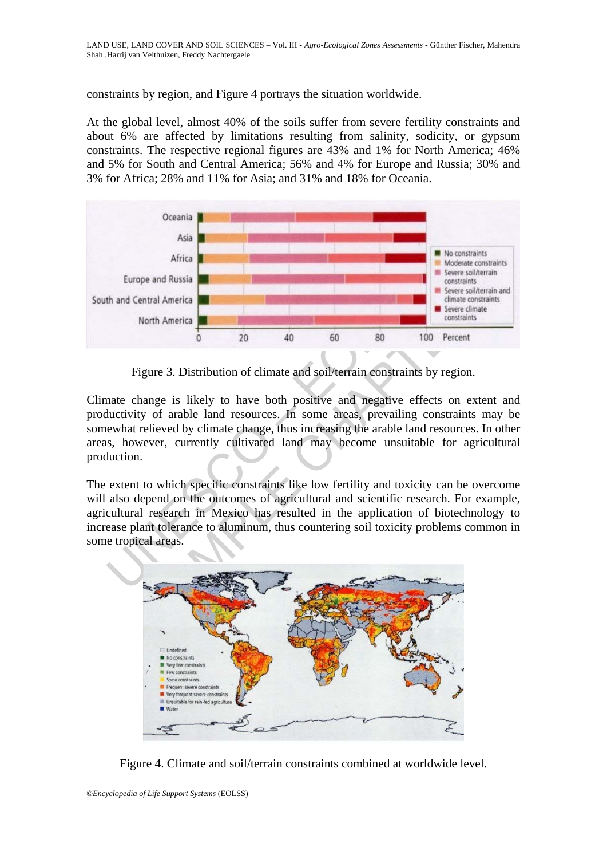constraints by region, and Figure 4 portrays the situation worldwide.

At the global level, almost 40% of the soils suffer from severe fertility constraints and about 6% are affected by limitations resulting from salinity, sodicity, or gypsum constraints. The respective regional figures are 43% and 1% for North America; 46% and 5% for South and Central America; 56% and 4% for Europe and Russia; 30% and 3% for Africa; 28% and 11% for Asia; and 31% and 18% for Oceania.



Figure 3. Distribution of climate and soil/terrain constraints by region.

Climate change is likely to have both positive and negative effects on extent and productivity of arable land resources. In some areas, prevailing constraints may be somewhat relieved by climate change, thus increasing the arable land resources. In other areas, however, currently cultivated land may become unsuitable for agricultural production.

The extent to which specific constraints like low fertility and toxicity can be overcome will also depend on the outcomes of agricultural and scientific research. For example, agricultural research in Mexico has resulted in the application of biotechnology to increase plant tolerance to aluminum, thus countering soil toxicity problems common in some tropical areas.



Figure 4. Climate and soil/terrain constraints combined at worldwide level.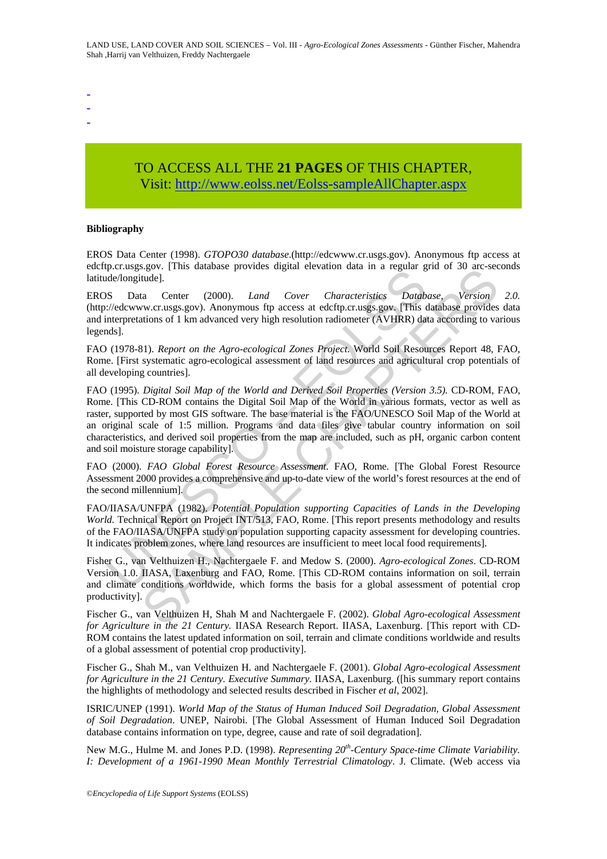- -
- -
- -

# TO ACCESS ALL THE **21 PAGES** OF THIS CHAPTER, Visit: [http://www.eolss.net/Eolss-sampleAllChapter.aspx](https://www.eolss.net/ebooklib/sc_cart.aspx?File=E1-05-03-02)

#### **Bibliography**

EROS Data Center (1998). *GTOPO30 database*.(http://edcwww.cr.usgs.gov). Anonymous ftp access at edcftp.cr.usgs.gov. [This database provides digital elevation data in a regular grid of 30 arc-seconds latitude/longitude].

EROS Data Center (2000). *Land Cover Characteristics Database, Version 2.0.* (http://edcwww.cr.usgs.gov). Anonymous ftp access at edcftp.cr.usgs.gov. [This database provides data and interpretations of 1 km advanced very high resolution radiometer (AVHRR) data according to various legends].

FAO (1978-81). *Report on the Agro-ecological Zones Project*. World Soil Resources Report 48, FAO, Rome. [First systematic agro-ecological assessment of land resources and agricultural crop potentials of all developing countries].

*ptoralsoneous* (1118 data see provides digitar electronic data in a regular giventified).<br>
S Data Center (2000). *Land Cover Characteristies Datably//edewww.cr.usgs.gov*). Anonymous fip access at edcftp.cr.usgs.gov, [This SET THIS batalog provides upgate reevation data in a regular give of ourse<br>
tude].<br>
tude].<br>
ta Center (2000). *Land Cover Characteristies Database*, Version<br>
w.cr.usgs.gov). Anonymous ftp access at edcftp.cr.usgs.gov. [Thi FAO (1995). *Digital Soil Map of the World and Derived Soil Properties (Version 3.5).* CD-ROM, FAO, Rome. [This CD-ROM contains the Digital Soil Map of the World in various formats, vector as well as raster, supported by most GIS software. The base material is the FAO/UNESCO Soil Map of the World at an original scale of 1:5 million. Programs and data files give tabular country information on soil characteristics, and derived soil properties from the map are included, such as pH, organic carbon content and soil moisture storage capability].

FAO (2000). *FAO Global Forest Resource Assessment*. FAO, Rome. [The Global Forest Resource Assessment 2000 provides a comprehensive and up-to-date view of the world's forest resources at the end of the second millennium].

FAO/IIASA/UNFPA (1982). *Potential Population supporting Capacities of Lands in the Developing World.* Technical Report on Project INT/513, FAO, Rome. [This report presents methodology and results of the FAO/IIASA/UNFPA study on population supporting capacity assessment for developing countries. It indicates problem zones, where land resources are insufficient to meet local food requirements].

Fisher G., van Velthuizen H., Nachtergaele F. and Medow S. (2000). *Agro-ecological Zones*. CD-ROM Version 1.0. IIASA, Laxenburg and FAO, Rome. [This CD-ROM contains information on soil, terrain and climate conditions worldwide, which forms the basis for a global assessment of potential crop productivity].

Fischer G., van Velthuizen H, Shah M and Nachtergaele F. (2002). *Global Agro-ecological Assessment for Agriculture in the 21 Century.* IIASA Research Report. IIASA, Laxenburg. [This report with CD-ROM contains the latest updated information on soil, terrain and climate conditions worldwide and results of a global assessment of potential crop productivity].

Fischer G., Shah M., van Velthuizen H. and Nachtergaele F. (2001). *Global Agro-ecological Assessment for Agriculture in the 21 Century. Executive Summary*. IIASA, Laxenburg. ([his summary report contains the highlights of methodology and selected results described in Fischer *et al*, 2002].

ISRIC/UNEP (1991). *World Map of the Status of Human Induced Soil Degradation, Global Assessment of Soil Degradation*. UNEP, Nairobi. [The Global Assessment of Human Induced Soil Degradation database contains information on type, degree, cause and rate of soil degradation].

New M.G., Hulme M. and Jones P.D. (1998). *Representing 20th-Century Space-time Climate Variability. I: Development of a 1961-1990 Mean Monthly Terrestrial Climatology*. J. Climate. (Web access via